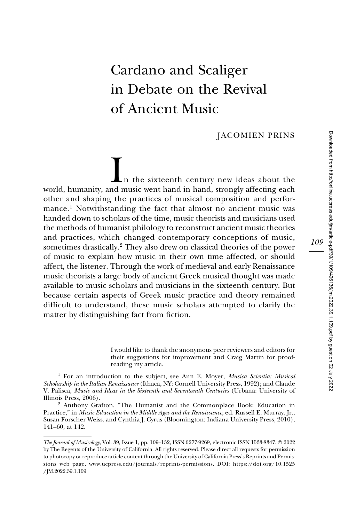# Cardano and Scaliger in Debate on the Revival of Ancient Music

JACOMIEN PRINS

In the sixteenth century new ideas about the world, humanity, and music went hand in hand, strongly affecting each other and shaping the practices of musical composition and performance.<sup>1</sup> Notwithstanding the fact that almost no ancient music was handed down to scholars of the time, music theorists and musicians used the methods of humanist philology to reconstruct ancient music theories and practices, which changed contemporary conceptions of music, sometimes drastically.<sup>2</sup> They also drew on classical theories of the power of music to explain how music in their own time affected, or should affect, the listener. Through the work of medieval and early Renaissance music theorists a large body of ancient Greek musical thought was made available to music scholars and musicians in the sixteenth century. But because certain aspects of Greek music practice and theory remained difficult to understand, these music scholars attempted to clarify the matter by distinguishing fact from fiction.

> I would like to thank the anonymous peer reviewers and editors for their suggestions for improvement and Craig Martin for proofreading my article.

<sup>1</sup> For an introduction to the subject, see Ann E. Moyer, *Musica Scientia: Musical* Scholarship in the Italian Renaissance (Ithaca, NY: Cornell University Press, 1992); and Claude V. Palisca, Music and Ideas in the Sixteenth and Seventeenth Centuries (Urbana: University of Illinois Press, 2006).

<sup>2</sup> Anthony Grafton, "The Humanist and the Commonplace Book: Education in Practice," in Music Education in the Middle Ages and the Renaissance, ed. Russell E. Murray, Jr., Susan Forscher Weiss, and Cynthia J. Cyrus (Bloomington: Indiana University Press, 2010), 141–60, at 142.

The Journal of Musicology, Vol. 39, Issue 1, pp. 109–132, ISSN 0277-9269, electronic ISSN 1533-8347. © 2022 by The Regents of the University of California. All rights reserved. Please direct all requests for permission to photocopy or reproduce article content through the University of California Press's Reprints and Permissions web page, [www.ucpress.edu/journals/reprints-permissions](https://www.ucpress.edu/journals/reprints-permissions). [DOI: https://doi.org/10.1525](https://doi.org/10.1525 /�JM.2022.39.1.109) [/JM.2022.39.1.109](https://doi.org/10.1525 /�JM.2022.39.1.109)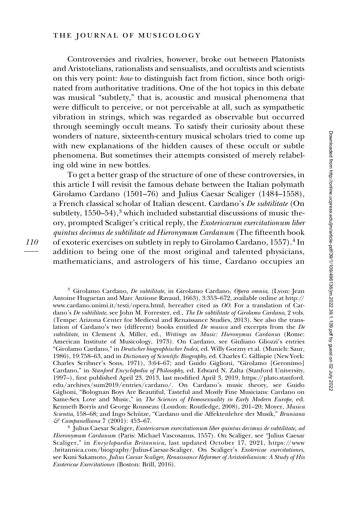Controversies and rivalries, however, broke out between Platonists and Aristotelians, rationalists and sensualists, and occultists and scientists on this very point: how to distinguish fact from fiction, since both originated from authoritative traditions. One of the hot topics in this debate was musical "subtlety," that is, acoustic and musical phenomena that were difficult to perceive, or not perceivable at all, such as sympathetic vibration in strings, which was regarded as observable but occurred through seemingly occult means. To satisfy their curiosity about these wonders of nature, sixteenth-century musical scholars tried to come up with new explanations of the hidden causes of these occult or subtle phenomena. But sometimes their attempts consisted of merely relabeling old wine in new bottles.

To get a better grasp of the structure of one of these controversies, in this article I will revisit the famous debate between the Italian polymath Girolamo Cardano (1501–76) and Julius Caesar Scaliger (1484–1558), a French classical scholar of Italian descent. Cardano's De subtilitate (On subtlety,  $1550-54$ ,  $3$  which included substantial discussions of music theory, prompted Scaliger's critical reply, the Exotericarum exercitationum liber quintus decimus de subtilitate ad Hieronymum Cardanum (The fifteenth book of exoteric exercises on subtlety in reply to Girolamo Cardano, 1557).<sup>4</sup> In addition to being one of the most original and talented physicians, mathematicians, and astrologers of his time, Cardano occupies an

<sup>3</sup> Girolamo Cardano, De subtilitate, in Girolamo Cardano, Opera omnia, (Lyon: Jean Antoine Huguetan and Marc Antione Ravaud, 1663), 3:353–672, available online at [http://](http://www.cardano.unimi.it/testi/opera.html) [www.cardano.unimi.it/testi/opera.html](http://www.cardano.unimi.it/testi/opera.html), hereafter cited as OO. For a translation of Cardano's De subtilitate, see John M. Forrester, ed., The De subtilitate of Girolamo Cardano, 2 vols. (Tempe: Arizona Center for Medieval and Renaissance Studies, 2013). See also the translation of Cardano's two (different) books entitled  $De$  musica and excerpts from the  $De$ subtilitate, in Clement A. Miller, ed., Writings on Music: Hieronymus Cardanus (Rome: American Institute of Musicology, 1973). On Cardano, see Giuliano Gliozzi's entries "Girolamo Cardano," in Deutscher biographischer Index, ed. Willy Gorzny et al. (Munich: Saur, 1986), 19:758–63, and in Dictionary of Scientific Biography, ed. Charles C. Gillispie (New York: Charles Scribner's Sons, 1971), 3:64–67; and Guido Giglioni, "Girolamo [Geronimo] Cardano," in Stanford Encyclopedia of Philosophy, ed. Edward N. Zalta (Stanford University, 1997–), first published April 23, 2013, last modified April 3, 2019, [https://plato.stanford.](https://plato.stanford.edu/archives/sum2019/entries/cardano/) [edu/archives/sum2019/entries/cardano/](https://plato.stanford.edu/archives/sum2019/entries/cardano/). On Cardano's music theory, see Guido Giglioni, "Bolognan Boys Are Beautiful, Tasteful and Mostly Fine Musicians: Cardano on Same-Sex Love and Music," in The Sciences of Homosexuality in Early Modern Europe, ed. Kenneth Borris and George Rousseau (London: Routledge, 2008), 201–20; Moyer, Musica Scientia, 158–68; and Ingo Schütze, "Cardano und die Affektenlehre der Musik," Bruniana  $\mathcal{E}$  Campanelliana 7 (2001): 453–67.

 $<sup>4</sup>$  Julius Caesar Scaliger, *Exotericarum exercitationum liber quintus decimus de subtilitate, ad*</sup> Hieronymum Cardanum (Paris: Michael Vascosanus, 1557). On Scaliger, see "Julius Caesar Scaliger," in Encyclopaedia Britannica, last updated October 17, 2021, [https://www](https://www.britannica.com/biography/Julius-Caesar-Scaliger) [.britannica.com/biography/Julius-Caesar-Scaliger.](https://www.britannica.com/biography/Julius-Caesar-Scaliger) On Scaliger's Exotericae exercitationes, see Kuni Sakamoto, Julius Caesar Scaliger, Renaissance Reformer of Aristotelianism: A Study of His Exotericae Exercitationes (Boston: Brill, 2016).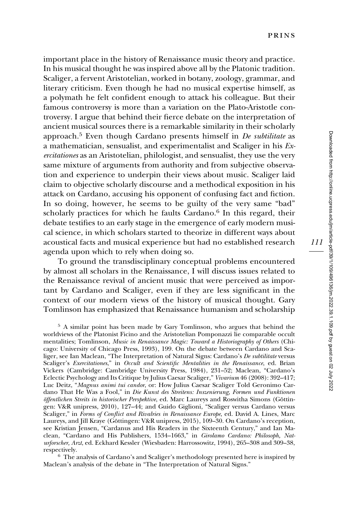important place in the history of Renaissance music theory and practice. In his musical thought he was inspired above all by the Platonic tradition. Scaliger, a fervent Aristotelian, worked in botany, zoology, grammar, and literary criticism. Even though he had no musical expertise himself, as a polymath he felt confident enough to attack his colleague. But their famous controversy is more than a variation on the Plato-Aristotle controversy. I argue that behind their fierce debate on the interpretation of ancient musical sources there is a remarkable similarity in their scholarly approach.<sup>5</sup> Even though Cardano presents himself in  $De$  subtilitate as a mathematician, sensualist, and experimentalist and Scaliger in his Exercitationes as an Aristotelian, philologist, and sensualist, they use the very same mixture of arguments from authority and from subjective observation and experience to underpin their views about music. Scaliger laid claim to objective scholarly discourse and a methodical exposition in his attack on Cardano, accusing his opponent of confusing fact and fiction. In so doing, however, he seems to be guilty of the very same "bad" scholarly practices for which he faults Cardano. $6$  In this regard, their debate testifies to an early stage in the emergence of early modern musical science, in which scholars started to theorize in different ways about acoustical facts and musical experience but had no established research agenda upon which to rely when doing so.

To ground the transdisciplinary conceptual problems encountered by almost all scholars in the Renaissance, I will discuss issues related to the Renaissance revival of ancient music that were perceived as important by Cardano and Scaliger, even if they are less significant in the context of our modern views of the history of musical thought. Gary Tomlinson has emphasized that Renaissance humanism and scholarship

<sup>5</sup> A similar point has been made by Gary Tomlinson, who argues that behind the worldviews of the Platonist Ficino and the Aristotelian Pomponazzi lie comparable occult mentalities; Tomlinson, Music in Renaissance Magic: Toward a Historiography of Others (Chicago: University of Chicago Press, 1993), 199. On the debate between Cardano and Scaliger, see Ian Maclean, "The Interpretation of Natural Signs: Cardano's De subtilitate versus Scaliger's Exercitationes," in Occult and Scientific Mentalities in the Renaissance, ed. Brian Vickers (Cambridge: Cambridge University Press, 1984), 231–52; Maclean, "Cardano's Eclectic Psychology and Its Critique by Julius Caesar Scaliger," Vivarium 46 (2008): 392–417; Luc Deitz, "Magnus animi tui candor, or: How Julius Caesar Scaliger Told Geronimo Cardano That He Was a Fool," in Die Kunst des Streitens: Inszenierung, Formen und Funktionen öffentlichen Streits in historischer Perspektive, ed. Marc Laureys and Roswitha Simons (Göttingen: V&R unipress, 2010), 127–44; and Guido Giglioni, "Scaliger versus Cardano versus Scaliger," in Forms of Conflict and Rivalries in Renaissance Europe, ed. David A. Lines, Marc Laureys, and Jill Kraye (Göttingen: V&R unipress, 2015), 109–30. On Cardano's reception, see Kristian Jensen, "Cardanus and His Readers in the Sixteenth Century," and Ian Maclean, "Cardano and His Publishers, 1534–1663," in Girolamo Cardano: Philosoph, Naturforscher, Arzt, ed. Eckhard Kessler (Wiesbaden: Harrossowitz, 1994), 265–308 and 309–38, respectively.

 $6$  The analysis of Cardano's and Scaliger's methodology presented here is inspired by Maclean's analysis of the debate in "The Interpretation of Natural Signs."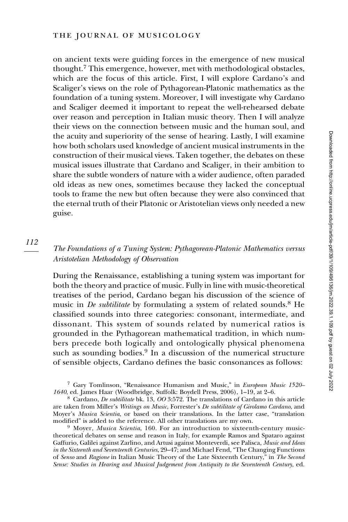on ancient texts were guiding forces in the emergence of new musical thought.<sup>7</sup> This emergence, however, met with methodological obstacles, which are the focus of this article. First, I will explore Cardano's and Scaliger's views on the role of Pythagorean-Platonic mathematics as the foundation of a tuning system. Moreover, I will investigate why Cardano and Scaliger deemed it important to repeat the well-rehearsed debate over reason and perception in Italian music theory. Then I will analyze their views on the connection between music and the human soul, and the acuity and superiority of the sense of hearing. Lastly, I will examine how both scholars used knowledge of ancient musical instruments in the construction of their musical views. Taken together, the debates on these musical issues illustrate that Cardano and Scaliger, in their ambition to share the subtle wonders of nature with a wider audience, often paraded old ideas as new ones, sometimes because they lacked the conceptual tools to frame the new but often because they were also convinced that the eternal truth of their Platonic or Aristotelian views only needed a new guise.

#### 112

## The Foundations of a Tuning System: Pythagorean-Platonic Mathematics versus Aristotelian Methodology of Observation

During the Renaissance, establishing a tuning system was important for both the theory and practice of music. Fully in line with music-theoretical treatises of the period, Cardano began his discussion of the science of music in *De subtilitate* by formulating a system of related sounds.<sup>8</sup> He classified sounds into three categories: consonant, intermediate, and dissonant. This system of sounds related by numerical ratios is grounded in the Pythagorean mathematical tradition, in which numbers precede both logically and ontologically physical phenomena such as sounding bodies.<sup>9</sup> In a discussion of the numerical structure of sensible objects, Cardano defines the basic consonances as follows:

<sup>7</sup> Gary Tomlinson, "Renaissance Humanism and Music," in European Music 1520– 1640, ed. James Haar (Woodbridge, Suffolk: Boydell Press, 2006), 1–19, at 2–6.

<sup>8</sup> Cardano, De subtilitate bk. 13, OO 3:572. The translations of Cardano in this article are taken from Miller's Writings on Music, Forrester's De subtilitate of Girolamo Cardano, and Moyer's *Musica Scientia*, or based on their translations. In the latter case, "translation modified" is added to the reference. All other translations are my own.

 $9$  Moyer, *Musica Scientia*, 160. For an introduction to sixteenth-century musictheoretical debates on sense and reason in Italy, for example Ramos and Spataro against Gaffurio, Galilei against Zarlino, and Artusi against Monteverdi, see Palisca, Music and Ideas in the Sixteenth and Seventeenth Centuries, 29–47; and Michael Fend, "The Changing Functions of Senso and Ragione in Italian Music Theory of the Late Sixteenth Century," in The Second Sense: Studies in Hearing and Musical Judgement from Antiquity to the Seventeenth Century, ed.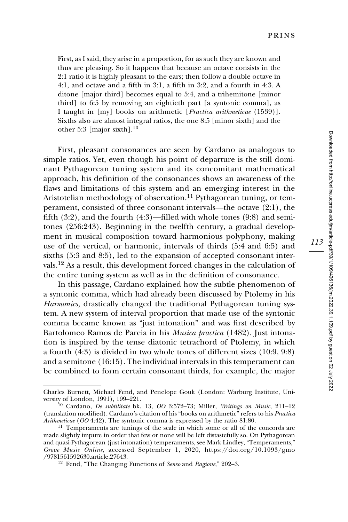First, as I said, they arise in a proportion, for as such they are known and thus are pleasing. So it happens that because an octave consists in the 2:1 ratio it is highly pleasant to the ears; then follow a double octave in 4:1, and octave and a fifth in 3:1, a fifth in 3:2, and a fourth in 4:3. A ditone [major third] becomes equal to 5:4, and a trihemitone [minor third] to 6:5 by removing an eightieth part [a syntonic comma], as I taught in [my] books on arithmetic [Practica arithmeticae (1539)]. Sixths also are almost integral ratios, the one 8:5 [minor sixth] and the other 5:3 [major sixth]. $^{10}$ 

First, pleasant consonances are seen by Cardano as analogous to simple ratios. Yet, even though his point of departure is the still dominant Pythagorean tuning system and its concomitant mathematical approach, his definition of the consonances shows an awareness of the flaws and limitations of this system and an emerging interest in the Aristotelian methodology of observation.<sup>11</sup> Pythagorean tuning, or temperament, consisted of three consonant intervals—the octave (2:1), the fifth  $(3:2)$ , and the fourth  $(4:3)$ —filled with whole tones  $(9:8)$  and semitones (256:243). Beginning in the twelfth century, a gradual development in musical composition toward harmonious polyphony, making use of the vertical, or harmonic, intervals of thirds (5:4 and 6:5) and sixths (5:3 and 8:5), led to the expansion of accepted consonant intervals.<sup>12</sup> As a result, this development forced changes in the calculation of the entire tuning system as well as in the definition of consonance.

In this passage, Cardano explained how the subtle phenomenon of a syntonic comma, which had already been discussed by Ptolemy in his Harmonics, drastically changed the traditional Pythagorean tuning system. A new system of interval proportion that made use of the syntonic comma became known as "just intonation" and was first described by Bartolomeo Ramos de Pareia in his Musica practica (1482). Just intonation is inspired by the tense diatonic tetrachord of Ptolemy, in which a fourth (4:3) is divided in two whole tones of different sizes (10:9, 9:8) and a semitone (16:15). The individual intervals in this temperament can perament, consisted<br>fifth (3:2), and the 1<br>tones (256:243). Be<br>ment in musical cc<br>use of the vertical,<br>sixths (5:3 and 8:5)<br>vals.<sup>12</sup> As a result, th<br>the entire tuning sy<br>In this passage,<br>a syntonic comma,<br>*Harmonics*, dr be combined to form certain consonant thirds, for example, the major

Charles Burnett, Michael Fend, and Penelope Gouk (London: Warburg Institute, Uni-

<sup>&</sup>lt;sup>10</sup> Cardano, *De subtilitate* bk. 13, OO 3:572–73; Miller, Writings on Music, 211–12 (translation modified). Cardano's citation of his "books on arithmetic" refers to his Practica Arithmeticae (OO 4:42). The syntonic comma is expressed by the ratio 81:80. <sup>11</sup> Temperaments are tunings of the scale in which some or all of the concords are

made slightly impure in order that few or none will be left distastefully so. On Pythagorean and quasi-Pythagorean (just intonation) temperaments, see Mark Lindley, "Temperaments," Grove Music Online, accessed September 1, 2020, [https://doi.org/10.1093/gmo](https://doi.org/10.1093/gmo/9781561592630.article.27643) [/9781561592630.article.27643.](https://doi.org/10.1093/gmo/9781561592630.article.27643)<br><sup>12</sup> Fend, "The Changing Functions of *Senso* and *Ragione*," 202–3.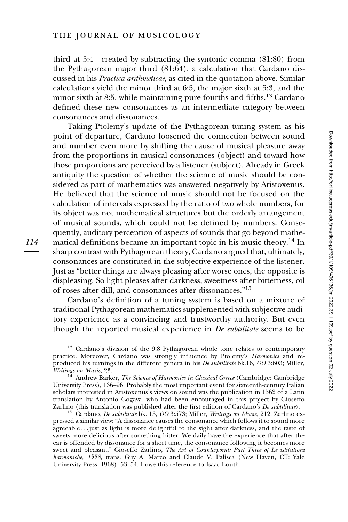third at 5:4—created by subtracting the syntonic comma (81:80) from the Pythagorean major third (81:64), a calculation that Cardano discussed in his Practica arithmeticae, as cited in the quotation above. Similar calculations yield the minor third at 6:5, the major sixth at 5:3, and the minor sixth at 8:5, while maintaining pure fourths and fifths.<sup>13</sup> Cardano defined these new consonances as an intermediate category between consonances and dissonances.

Taking Ptolemy's update of the Pythagorean tuning system as his point of departure, Cardano loosened the connection between sound and number even more by shifting the cause of musical pleasure away from the proportions in musical consonances (object) and toward how those proportions are perceived by a listener (subject). Already in Greek antiquity the question of whether the science of music should be considered as part of mathematics was answered negatively by Aristoxenus. He believed that the science of music should not be focused on the calculation of intervals expressed by the ratio of two whole numbers, for its object was not mathematical structures but the orderly arrangement of musical sounds, which could not be defined by numbers. Consequently, auditory perception of aspects of sounds that go beyond mathematical definitions became an important topic in his music theory.<sup>14</sup> In sharp contrast with Pythagorean theory, Cardano argued that, ultimately, consonances are constituted in the subjective experience of the listener. Just as "better things are always pleasing after worse ones, the opposite is displeasing. So light pleases after darkness, sweetness after bitterness, oil of roses after dill, and consonances after dissonances."<sup>15</sup>

Cardano's definition of a tuning system is based on a mixture of traditional Pythagorean mathematics supplemented with subjective auditory experience as a convincing and trustworthy authority. But even though the reported musical experience in  $De$  *subtilitate* seems to be

<sup>&</sup>lt;sup>13</sup> Cardano's division of the 9:8 Pythagorean whole tone relates to contemporary practice. Moreover, Cardano was strongly influence by Ptolemy's Harmonics and reproduced his turnings in the different genera in his De subtilitate bk.16, OO 3:603; Miller, Writings on Music, 23.<br><sup>14</sup> Andrew Barker, *The Science of Harmonics in Classical Greece* (Cambridge: Cambridge

University Press), 136–96. Probably the most important event for sixteenth-century Italian scholars interested in Aristoxenus's views on sound was the publication in 1562 of a Latin translation by Antonio Gogava, who had been encouraged in this project by Gioseffo Zarlino (this translation was published after the first edition of Cardano's  $De$  subtilitate).

 $^{15}$  Cardano, De subtilitate bk. 13, OO 3:573; Miller, Writings on Music, 212. Zarlino expressed a similar view: "A dissonance causes the consonance which follows it to sound more agreeable ... just as light is more delightful to the sight after darkness, and the taste of sweets more delicious after something bitter. We daily have the experience that after the ear is offended by dissonance for a short time, the consonance following it becomes more sweet and pleasant." Gioseffo Zarlino, The Art of Counterpoint: Part Three of Le istitutioni harmoniche, 1558, trans. Guy A. Marco and Claude V. Palisca (New Haven, CT: Yale University Press, 1968), 53–54. I owe this reference to Isaac Louth.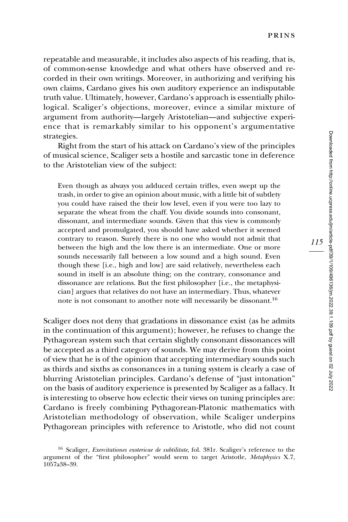repeatable and measurable, it includes also aspects of his reading, that is, of common-sense knowledge and what others have observed and recorded in their own writings. Moreover, in authorizing and verifying his own claims, Cardano gives his own auditory experience an indisputable truth value. Ultimately, however, Cardano's approach is essentially philological. Scaliger's objections, moreover, evince a similar mixture of argument from authority—largely Aristotelian—and subjective experience that is remarkably similar to his opponent's argumentative strategies.

Right from the start of his attack on Cardano's view of the principles of musical science, Scaliger sets a hostile and sarcastic tone in deference to the Aristotelian view of the subject:

Even though as always you adduced certain trifles, even swept up the trash, in order to give an opinion about music, with a little bit of subtlety you could have raised the their low level, even if you were too lazy to separate the wheat from the chaff. You divide sounds into consonant, dissonant, and intermediate sounds. Given that this view is commonly accepted and promulgated, you should have asked whether it seemed contrary to reason. Surely there is no one who would not admit that between the high and the low there is an intermediate. One or more sounds necessarily fall between a low sound and a high sound. Even though these [i.e., high and low] are said relatively, nevertheless each sound in itself is an absolute thing; on the contrary, consonance and dissonance are relations. But the first philosopher [i.e., the metaphysician] argues that relatives do not have an intermediary. Thus, whatever note is not consonant to another note will necessarily be dissonant.<sup>16</sup>

Scaliger does not deny that gradations in dissonance exist (as he admits in the continuation of this argument); however, he refuses to change the Pythagorean system such that certain slightly consonant dissonances will be accepted as a third category of sounds. We may derive from this point of view that he is of the opinion that accepting intermediary sounds such as thirds and sixths as consonances in a tuning system is clearly a case of blurring Aristotelian principles. Cardano's defense of "just intonation" on the basis of auditory experience is presented by Scaliger as a fallacy. It is interesting to observe how eclectic their views on tuning principles are: Cardano is freely combining Pythagorean-Platonic mathematics with Aristotelian methodology of observation, while Scaliger underpins Pythagorean principles with reference to Aristotle, who did not count

<sup>&</sup>lt;sup>16</sup> Scaliger, *Exercitationes exotericae de subtilitate*, fol. 381r. Scaliger's reference to the argument of the "first philosopher" would seem to target Aristotle, Metaphysics X.7, 1057a38–39.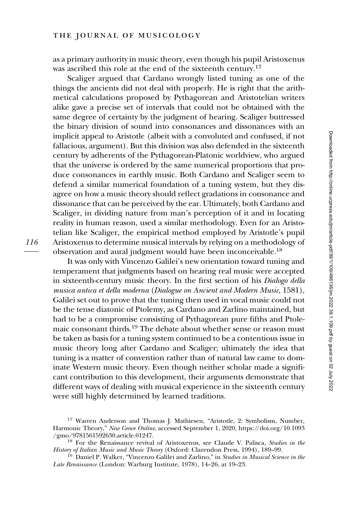as a primary authority in music theory, even though his pupil Aristoxenus was ascribed this role at the end of the sixteenth century.<sup>17</sup>

Scaliger argued that Cardano wrongly listed tuning as one of the things the ancients did not deal with properly. He is right that the arithmetical calculations proposed by Pythagorean and Aristotelian writers alike gave a precise set of intervals that could not be obtained with the same degree of certainty by the judgment of hearing. Scaliger buttressed the binary division of sound into consonances and dissonances with an implicit appeal to Aristotle (albeit with a convoluted and confused, if not fallacious, argument). But this division was also defended in the sixteenth century by adherents of the Pythagorean-Platonic worldview, who argued that the universe is ordered by the same numerical proportions that produce consonances in earthly music. Both Cardano and Scaliger seem to defend a similar numerical foundation of a tuning system, but they disagree on how a music theory should reflect gradations in consonance and dissonance that can be perceived by the ear. Ultimately, both Cardano and Scaliger, in dividing nature from man's perception of it and in locating reality in human reason, used a similar methodology. Even for an Aristotelian like Scaliger, the empirical method employed by Aristotle's pupil Aristoxenus to determine musical intervals by relying on a methodology of observation and aural judgment would have been inconceivable.18

It was only with Vincenzo Galilei's new orientation toward tuning and temperament that judgments based on hearing real music were accepted in sixteenth-century music theory. In the first section of his Dialogo della musica antica et della moderna (Dialogue on Ancient and Modern Music, 1581), Galilei set out to prove that the tuning then used in vocal music could not be the tense diatonic of Ptolemy, as Cardano and Zarlino maintained, but had to be a compromise consisting of Pythagorean pure fifths and Ptolemaic consonant thirds.<sup>19</sup> The debate about whether sense or reason must be taken as basis for a tuning system continued to be a contentious issue in music theory long after Cardano and Scaliger; ultimately the idea that tuning is a matter of convention rather than of natural law came to dominate Western music theory. Even though neither scholar made a significant contribution to this development, their arguments demonstrate that different ways of dealing with musical experience in the sixteenth century were still highly determined by learned traditions.

<sup>&</sup>lt;sup>17</sup> Warren Anderson and Thomas J. Mathiesen, "Aristotle, 2: Symbolism, Number, Harmonic Theory," New Grove Online, accessed September 1, 2020, [https://doi.org/10.1093](https://doi.org/10.1093/gmo/9781561592630.article.01247)<br>/gmo/9781561592630.article.01247.

<sup>&</sup>lt;sup>18</sup> For the Renaissance revival of Aristoxenus, see Claude V. Palisca, Studies in the History of Italian Music and Music Theory (Oxford: Clarendon Press, 1994), 189–99.

 $^{19}$  Daniel P. Walker, "Vincenzo Galilei and Zarlino," in Studies in Musical Science in the Late Renaissance (London: Warburg Institute, 1978), 14–26, at 19–23.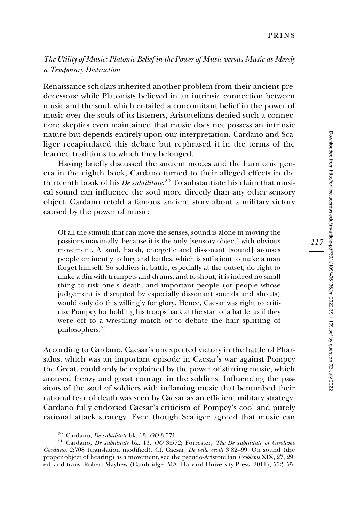## The Utility of Music: Platonic Belief in the Power of Music versus Music as Merely a Temporary Distraction

Renaissance scholars inherited another problem from their ancient predecessors: while Platonists believed in an intrinsic connection between music and the soul, which entailed a concomitant belief in the power of music over the souls of its listeners, Aristotelians denied such a connection; skeptics even maintained that music does not possess an intrinsic nature but depends entirely upon our interpretation. Cardano and Scaliger recapitulated this debate but rephrased it in the terms of the learned traditions to which they belonged.

Having briefly discussed the ancient modes and the harmonic genera in the eighth book, Cardano turned to their alleged effects in the thirteenth book of his *De subtilitate*.<sup>20</sup> To substantiate his claim that musical sound can influence the soul more directly than any other sensory object, Cardano retold a famous ancient story about a military victory caused by the power of music:

Of all the stimuli that can move the senses, sound is alone in moving the passions maximally, because it is the only [sensory object] with obvious movement. A loud, harsh, energetic and dissonant [sound] arouses people eminently to fury and battles, which is sufficient to make a man forget himself. So soldiers in battle, especially at the outset, do right to make a din with trumpets and drums, and to shout; it is indeed no small thing to risk one's death, and important people (or people whose judgement is disrupted by especially dissonant sounds and shouts) would only do this willingly for glory. Hence, Caesar was right to criticize Pompey for holding his troops back at the start of a battle, as if they were off to a wrestling match or to debate the hair splitting of philosophers.<sup>21</sup>

According to Cardano, Caesar's unexpected victory in the battle of Pharsalus, which was an important episode in Caesar's war against Pompey the Great, could only be explained by the power of stirring music, which aroused frenzy and great courage in the soldiers. Influencing the passions of the soul of soldiers with inflaming music that benumbed their rational fear of death was seen by Caesar as an efficient military strategy. Cardano fully endorsed Caesar's criticism of Pompey's cool and purely rational attack strategy. Even though Scaliger agreed that music can

<sup>&</sup>lt;sup>20</sup> Cardano, *De subtilitate* bk. 13, *OO* 3:571.<br><sup>21</sup> Cardano, *De subtilitate* bk. 13, *OO* 3:572; Forrester, *The De subtilitate of Girolamo* Cardano, 2:708 (translation modified). Cf. Caesar, De bello civili 3.82–99. On sound (the proper object of hearing) as a movement, see the pseudo-Aristotelian Problems XIX, 27, 29; ed. and trans. Robert Mayhew (Cambridge, MA: Harvard University Press, 2011), 552–55.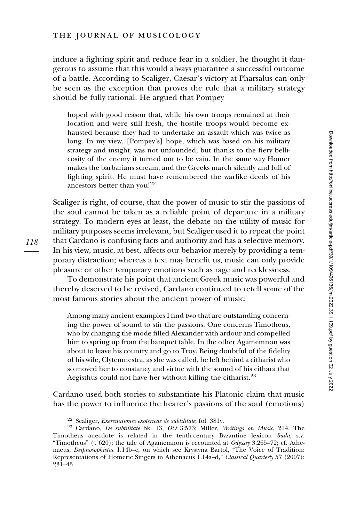induce a fighting spirit and reduce fear in a soldier, he thought it dangerous to assume that this would always guarantee a successful outcome of a battle. According to Scaliger, Caesar's victory at Pharsalus can only be seen as the exception that proves the rule that a military strategy should be fully rational. He argued that Pompey

hoped with good reason that, while his own troops remained at their location and were still fresh, the hostile troops would become exhausted because they had to undertake an assault which was twice as long. In my view, [Pompey's] hope, which was based on his military strategy and insight, was not unfounded, but thanks to the fiery bellicosity of the enemy it turned out to be vain. In the same way Homer makes the barbarians scream, and the Greeks march silently and full of fighting spirit. He must have remembered the warlike deeds of his ancestors better than you!<sup>22</sup>

Scaliger is right, of course, that the power of music to stir the passions of the soul cannot be taken as a reliable point of departure in a military strategy. To modern eyes at least, the debate on the utility of music for military purposes seems irrelevant, but Scaliger used it to repeat the point that Cardano is confusing facts and authority and has a selective memory. In his view, music, at best, affects our behavior merely by providing a temporary distraction; whereas a text may benefit us, music can only provide pleasure or other temporary emotions such as rage and recklessness.

To demonstrate his point that ancient Greek music was powerful and thereby deserved to be revived, Cardano continued to retell some of the most famous stories about the ancient power of music:

Among many ancient examples I find two that are outstanding concerning the power of sound to stir the passions. One concerns Timotheus, who by changing the mode filled Alexander with ardour and compelled him to spring up from the banquet table. In the other Agamemnon was about to leave his country and go to Troy. Being doubtful of the fidelity of his wife, Clytemnestra, as she was called, he left behind a citharist who so moved her to constancy and virtue with the sound of his cithara that Aegisthus could not have her without killing the citharist.<sup>23</sup>

Cardano used both stories to substantiate his Platonic claim that music has the power to influence the hearer's passions of the soul (emotions)

<sup>&</sup>lt;sup>22</sup> Scaliger, *Exercitationes exotericae de subtilitate*, fol.  $381v$ .<br><sup>23</sup> Cardano, *De subtilitate* bk. 13, *OO* 3:573; Miller, *Writings on Music*, 214. The Timotheus anecdote is related in the tenth-century Byzantine lexicon Suda, s.v. "Timotheus" ( $\tau$  620); the tale of Agamemnon is recounted at *Odyssey* 3.265–72; cf. Athenaeus, Deipnosophistae 1.14b–c, on which see Krystyna Bartol, "The Voice of Tradition: Representations of Homeric Singers in Athenaeus 1.14a–d," Classical Quarterly 57 (2007): 231–43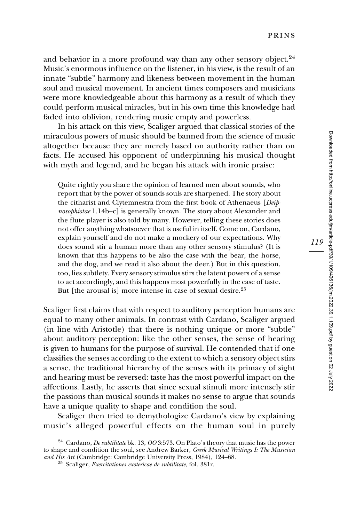and behavior in a more profound way than any other sensory object.<sup>24</sup> Music's enormous influence on the listener, in his view, is the result of an innate "subtle" harmony and likeness between movement in the human soul and musical movement. In ancient times composers and musicians were more knowledgeable about this harmony as a result of which they could perform musical miracles, but in his own time this knowledge had faded into oblivion, rendering music empty and powerless.

In his attack on this view, Scaliger argued that classical stories of the miraculous powers of music should be banned from the science of music altogether because they are merely based on authority rather than on facts. He accused his opponent of underpinning his musical thought with myth and legend, and he began his attack with ironic praise:

Quite rightly you share the opinion of learned men about sounds, who report that by the power of sounds souls are sharpened. The story about the citharist and Clytemnestra from the first book of Athenaeus [Deipnosophistae 1.14b–c] is generally known. The story about Alexander and the flute player is also told by many. However, telling these stories does not offer anything whatsoever that is useful in itself. Come on, Cardano, explain yourself and do not make a mockery of our expectations. Why does sound stir a human more than any other sensory stimulus? (It is known that this happens to be also the case with the bear, the horse, and the dog, and we read it also about the deer.) But in this question, too, lies subtlety. Every sensory stimulus stirs the latent powers of a sense to act accordingly, and this happens most powerfully in the case of taste. But [the arousal is] more intense in case of sexual desire.<sup>25</sup>

Scaliger first claims that with respect to auditory perception humans are equal to many other animals. In contrast with Cardano, Scaliger argued (in line with Aristotle) that there is nothing unique or more "subtle" about auditory perception: like the other senses, the sense of hearing is given to humans for the purpose of survival. He contended that if one classifies the senses according to the extent to which a sensory object stirs a sense, the traditional hierarchy of the senses with its primacy of sight and hearing must be reversed: taste has the most powerful impact on the affections. Lastly, he asserts that since sexual stimuli more intensely stir the passions than musical sounds it makes no sense to argue that sounds have a unique quality to shape and condition the soul.

Scaliger then tried to demythologize Cardano's view by explaining music's alleged powerful effects on the human soul in purely

<sup>&</sup>lt;sup>24</sup> Cardano, *De subtilitate* bk. 13, *OO* 3:573. On Plato's theory that music has the power to shape and condition the soul, see Andrew Barker, *Greek Musical Writings I: The Musician and His Art* (Cambridge: Cambridge University Press, 1984), 124–68.

<sup>&</sup>lt;sup>25</sup> Scaliger, Exercitationes exotericae de subtilitate, fol. 381r.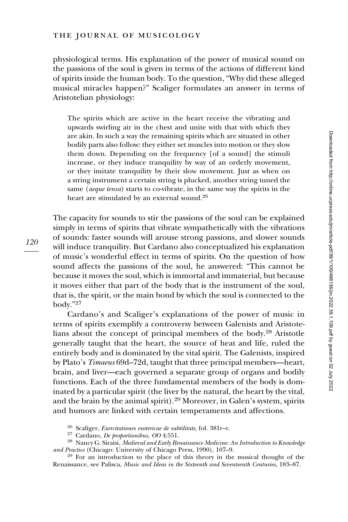#### the journal of musicology

physiological terms. His explanation of the power of musical sound on the passions of the soul is given in terms of the actions of different kind of spirits inside the human body. To the question, "Why did these alleged musical miracles happen?" Scaliger formulates an answer in terms of Aristotelian physiology:

The spirits which are active in the heart receive the vibrating and upwards swirling air in the chest and unite with that with which they are akin. In such a way the remaining spirits which are situated in other bodily parts also follow: they either set muscles into motion or they slow them down. Depending on the frequency [of a sound] the stimuli increase, or they induce tranquility by way of an orderly movement, or they imitate tranquility by their slow movement. Just as when on a string instrument a certain string is plucked, another string tuned the same (aeque tensa) starts to co-vibrate, in the same way the spirits in the heart are stimulated by an external sound.<sup>26</sup>

The capacity for sounds to stir the passions of the soul can be explained simply in terms of spirits that vibrate sympathetically with the vibrations of sounds: faster sounds will arouse strong passions, and slower sounds will induce tranquility. But Cardano also conceptualized his explanation of music's wonderful effect in terms of spirits. On the question of how sound affects the passions of the soul, he answered: "This cannot be because it moves the soul, which is immortal and immaterial, but because it moves either that part of the body that is the instrument of the soul, that is, the spirit, or the main bond by which the soul is connected to the body."<sup>27</sup>

Cardano's and Scaliger's explanations of the power of music in terms of spirits exemplify a controversy between Galenists and Aristotelians about the concept of principal members of the body.28 Aristotle generally taught that the heart, the source of heat and life, ruled the entirely body and is dominated by the vital spirit. The Galenists, inspired by Plato's Timaeus 69d–72d, taught that three principal members—heart, brain, and liver—each governed a separate group of organs and bodily functions. Each of the three fundamental members of the body is dominated by a particular spirit (the liver by the natural, the heart by the vital, and the brain by the animal spirit).<sup>29</sup> Moreover, in Galen's system, spirits and humors are linked with certain temperaments and affections.

<sup>&</sup>lt;sup>26</sup> Scaliger, *Exercitationes exotericae de subtilitate*, fol. 381r–v.<br><sup>27</sup> Cardano, *De proportionibus, OO* 4:551.<br><sup>28</sup> Nancy G. Siraisi, *Medieval and Early Renaissance Medicine: An Introduction to Knowledge*<br>*and Prac* 

<sup>&</sup>lt;sup>29</sup> For an introduction to the place of this theory in the musical thought of the Renaissance, see Palisca, Music and Ideas in the Sixteenth and Seventeenth Centuries, 183–87.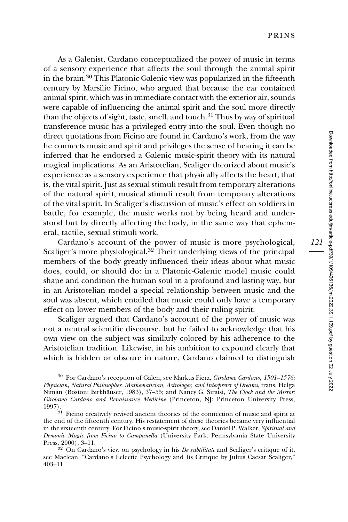As a Galenist, Cardano conceptualized the power of music in terms of a sensory experience that affects the soul through the animal spirit in the brain.30 This Platonic-Galenic view was popularized in the fifteenth century by Marsilio Ficino, who argued that because the ear contained animal spirit, which was in immediate contact with the exterior air, sounds were capable of influencing the animal spirit and the soul more directly than the objects of sight, taste, smell, and touch.<sup>31</sup> Thus by way of spiritual transference music has a privileged entry into the soul. Even though no direct quotations from Ficino are found in Cardano's work, from the way he connects music and spirit and privileges the sense of hearing it can be inferred that he endorsed a Galenic music-spirit theory with its natural magical implications. As an Aristotelian, Scaliger theorized about music's experience as a sensory experience that physically affects the heart, that is, the vital spirit. Just as sexual stimuli result from temporary alterations of the natural spirit, musical stimuli result from temporary alterations of the vital spirit. In Scaliger's discussion of music's effect on soldiers in battle, for example, the music works not by being heard and understood but by directly affecting the body, in the same way that ephemeral, tactile, sexual stimuli work.

Cardano's account of the power of music is more psychological, Scaliger's more physiological.<sup>32</sup> Their underlying views of the principal members of the body greatly influenced their ideas about what music does, could, or should do: in a Platonic-Galenic model music could shape and condition the human soul in a profound and lasting way, but in an Aristotelian model a special relationship between music and the soul was absent, which entailed that music could only have a temporary effect on lower members of the body and their ruling spirit.

Scaliger argued that Cardano's account of the power of music was not a neutral scientific discourse, but he failed to acknowledge that his own view on the subject was similarly colored by his adherence to the Aristotelian tradition. Likewise, in his ambition to expound clearly that which is hidden or obscure in nature, Cardano claimed to distinguish

<sup>30</sup> For Cardano's reception of Galen, see Markus Fierz, Girolamo Cardano, 1501–1576: Physician, Natural Philosopher, Mathematician, Astrologer, and Interpreter of Dreams, trans. Helga Niman (Boston: Birkhäuser, 1983), 37–55; and Nancy G. Siraisi, The Clock and the Mirror: Girolamo Cardano and Renaissance Medicine (Princeton, NJ: Princeton University Press, 1997).

 $31$  Ficino creatively revived ancient theories of the connection of music and spirit at the end of the fifteenth century. His restatement of these theories became very influential in the sixteenth century. For Ficino's music-spirit theory, see Daniel P. Walker, Spiritual and Demonic Magic from Ficino to Campanella (University Park: Pennsylvania State University Press, 2000), 3-11.

 $32$  On Cardano's view on psychology in his De subtilitate and Scaliger's critique of it, see Maclean, "Cardano's Eclectic Psychology and Its Critique by Julius Caesar Scaliger," 403–11.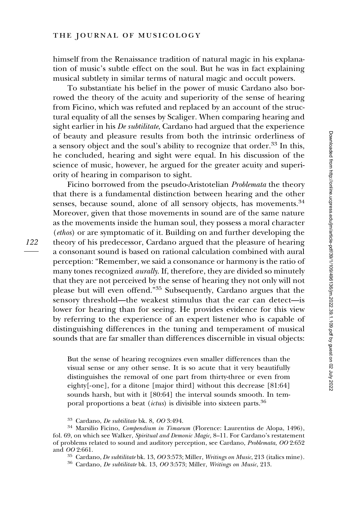#### the journal of musicology

himself from the Renaissance tradition of natural magic in his explanation of music's subtle effect on the soul. But he was in fact explaining musical subtlety in similar terms of natural magic and occult powers.

To substantiate his belief in the power of music Cardano also borrowed the theory of the acuity and superiority of the sense of hearing from Ficino, which was refuted and replaced by an account of the structural equality of all the senses by Scaliger. When comparing hearing and sight earlier in his De subtilitate, Cardano had argued that the experience of beauty and pleasure results from both the intrinsic orderliness of a sensory object and the soul's ability to recognize that order.<sup>33</sup> In this, he concluded, hearing and sight were equal. In his discussion of the science of music, however, he argued for the greater acuity and superiority of hearing in comparison to sight.

Ficino borrowed from the pseudo-Aristotelian Problemata the theory that there is a fundamental distinction between hearing and the other senses, because sound, alone of all sensory objects, has movements.<sup>34</sup> Moreover, given that those movements in sound are of the same nature as the movements inside the human soul, they possess a moral character (ethos) or are symptomatic of it. Building on and further developing the theory of his predecessor, Cardano argued that the pleasure of hearing a consonant sound is based on rational calculation combined with aural perception: "Remember, we said a consonance or harmony is the ratio of many tones recognized *aurally*. If, therefore, they are divided so minutely that they are not perceived by the sense of hearing they not only will not please but will even offend."<sup>35</sup> Subsequently, Cardano argues that the sensory threshold—the weakest stimulus that the ear can detect—is lower for hearing than for seeing. He provides evidence for this view by referring to the experience of an expert listener who is capable of distinguishing differences in the tuning and temperament of musical sounds that are far smaller than differences discernible in visual objects:

But the sense of hearing recognizes even smaller differences than the visual sense or any other sense. It is so acute that it very beautifully distinguishes the removal of one part from thirty-three or even from eighty[-one], for a ditone [major third] without this decrease [81:64] sounds harsh, but with it [80:64] the interval sounds smooth. In temporal proportions a beat (ictus) is divisible into sixteen parts.<sup>36</sup>

<sup>&</sup>lt;sup>33</sup> Cardano, *De subtilitate* bk. 8, *OO* 3:494.<br><sup>34</sup> Marsilio Ficino, *Compendium in Timaeum* (Florence: Laurentius de Alopa, 1496), fol. 69, on which see Walker, Spiritual and Demonic Magic, 8–11. For Cardano's restatement of problems related to sound and auditory perception, see Cardano, Problemata, OO 2:652 and OO 2:661.

 $^{35}$  Cardano, *De subtilitate* bk. 13, *OO* 3:573; Miller, *Writings on Music*, 213 (italics mine).  $^{36}$  Cardano, *De subtilitate* bk. 13, *OO* 3:573; Miller, *Writings on Music*, 213.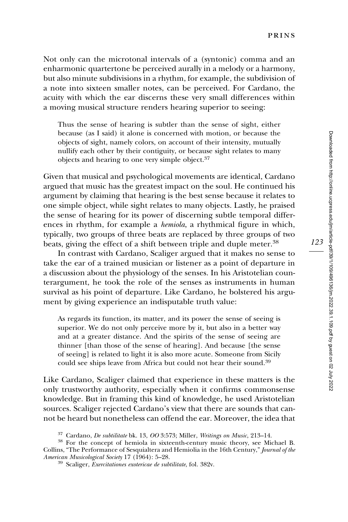Not only can the microtonal intervals of a (syntonic) comma and an enharmonic quartertone be perceived aurally in a melody or a harmony, but also minute subdivisions in a rhythm, for example, the subdivision of a note into sixteen smaller notes, can be perceived. For Cardano, the acuity with which the ear discerns these very small differences within a moving musical structure renders hearing superior to seeing:

Thus the sense of hearing is subtler than the sense of sight, either because (as I said) it alone is concerned with motion, or because the objects of sight, namely colors, on account of their intensity, mutually nullify each other by their contiguity, or because sight relates to many objects and hearing to one very simple object.<sup>37</sup>

Given that musical and psychological movements are identical, Cardano argued that music has the greatest impact on the soul. He continued his argument by claiming that hearing is the best sense because it relates to one simple object, while sight relates to many objects. Lastly, he praised the sense of hearing for its power of discerning subtle temporal differences in rhythm, for example a hemiola, a rhythmical figure in which, typically, two groups of three beats are replaced by three groups of two beats, giving the effect of a shift between triple and duple meter.<sup>38</sup>

In contrast with Cardano, Scaliger argued that it makes no sense to take the ear of a trained musician or listener as a point of departure in a discussion about the physiology of the senses. In his Aristotelian counterargument, he took the role of the senses as instruments in human survival as his point of departure. Like Cardano, he bolstered his argument by giving experience an indisputable truth value:

As regards its function, its matter, and its power the sense of seeing is superior. We do not only perceive more by it, but also in a better way and at a greater distance. And the spirits of the sense of seeing are thinner [than those of the sense of hearing]. And because [the sense of seeing] is related to light it is also more acute. Someone from Sicily could see ships leave from Africa but could not hear their sound.<sup>39</sup>

Like Cardano, Scaliger claimed that experience in these matters is the only trustworthy authority, especially when it confirms commonsense knowledge. But in framing this kind of knowledge, he used Aristotelian sources. Scaliger rejected Cardano's view that there are sounds that cannot be heard but nonetheless can offend the ear. Moreover, the idea that

 $37$  Cardano, *De subtilitate* bk. 13, *OO* 3:573; Miller, *Writings on Music*, 213–14.<br><sup>38</sup> For the concept of hemiola in sixteenth-century music theory, see Michael B. Collins, "The Performance of Sesquialtera and Hemiolia in the 16th Century," Journal of the American Musicological Society 17 (1964): 5–28.

 $39$  Scaliger, Exercitationes exotericae de subtilitate, fol.  $382v$ .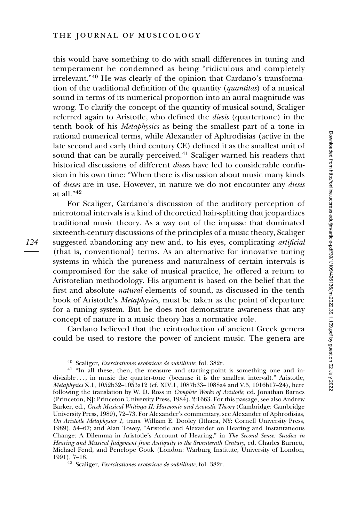this would have something to do with small differences in tuning and temperament he condemned as being "ridiculous and completely irrelevant."<sup>40</sup> He was clearly of the opinion that Cardano's transformation of the traditional definition of the quantity (quantitas) of a musical sound in terms of its numerical proportion into an aural magnitude was wrong. To clarify the concept of the quantity of musical sound, Scaliger referred again to Aristotle, who defined the diesis (quartertone) in the tenth book of his Metaphysics as being the smallest part of a tone in rational numerical terms, while Alexander of Aphrodisias (active in the late second and early third century CE) defined it as the smallest unit of sound that can be aurally perceived. $41$  Scaliger warned his readers that historical discussions of different *dieses* have led to considerable confusion in his own time: "When there is discussion about music many kinds of dieses are in use. However, in nature we do not encounter any diesis at all."<sup>42</sup>

For Scaliger, Cardano's discussion of the auditory perception of microtonal intervals is a kind of theoretical hair-splitting that jeopardizes traditional music theory. As a way out of the impasse that dominated sixteenth-century discussions of the principles of a music theory, Scaliger suggested abandoning any new and, to his eyes, complicating *artificial* (that is, conventional) terms. As an alternative for innovative tuning systems in which the pureness and naturalness of certain intervals is compromised for the sake of musical practice, he offered a return to Aristotelian methodology. His argument is based on the belief that the first and absolute natural elements of sound, as discussed in the tenth book of Aristotle's Metaphysics, must be taken as the point of departure for a tuning system. But he does not demonstrate awareness that any concept of nature in a music theory has a normative role.

Cardano believed that the reintroduction of ancient Greek genera could be used to restore the power of ancient music. The genera are

<sup>&</sup>lt;sup>40</sup> Scaliger, *Exercitationes exotericae de subtilitate*, fol. 382r.  $\frac{41}{1}$  "In all these, then, the measure and starting-point is something one and indivisible ... , in music the quarter-tone (because it is the smallest interval)." Aristotle, Metaphysics X.1, 1052b32–1053a12 (cf. XIV.1, 1087b33–1088a4 and V.5, 1016b17–24), here following the translation by W. D. Ross in Complete Works of Aristotle, ed. Jonathan Barnes (Princeton, NJ: Princeton University Press, 1984), 2:1663. For this passage, see also Andrew Barker, ed., Greek Musical Writings II: Harmonic and Acoustic Theory (Cambridge: Cambridge University Press, 1989), 72–73. For Alexander's commentary, see Alexander of Aphrodisias, On Aristotle Metaphysics 1, trans. William E. Dooley (Ithaca, NY: Cornell University Press, 1989), 54–67; and Alan Towey, "Aristotle and Alexander on Hearing and Instantaneous Change: A Dilemma in Aristotle's Account of Hearing," in The Second Sense: Studies in Hearing and Musical Judgement from Antiquity to the Seventeenth Century, ed. Charles Burnett, Michael Fend, and Penelope Gouk (London: Warburg Institute, University of London, 1991), 7–18.<br><sup>42</sup> Scaliger, *Exercitationes exotericae de subtilitate*, fol. 382r.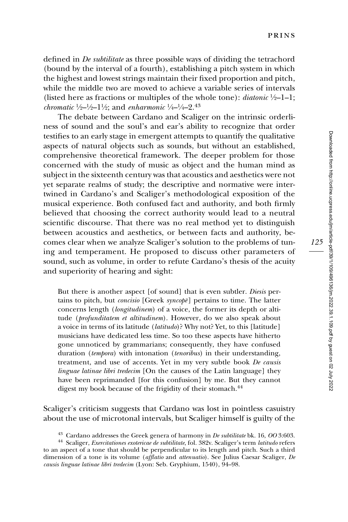defined in De subtilitate as three possible ways of dividing the tetrachord (bound by the interval of a fourth), establishing a pitch system in which the highest and lowest strings maintain their fixed proportion and pitch, while the middle two are moved to achieve a variable series of intervals (listed here as fractions or multiples of the whole tone): *diatonic*  $\frac{1}{2}$ –1–1; *chromatic*  $\frac{1}{2} - \frac{1}{2} - 1\frac{1}{2}$ ; and *enharmonic*  $\frac{1}{4} - \frac{1}{4} - 2$ .<sup>43</sup>

The debate between Cardano and Scaliger on the intrinsic orderliness of sound and the soul's and ear's ability to recognize that order testifies to an early stage in emergent attempts to quantify the qualitative aspects of natural objects such as sounds, but without an established, comprehensive theoretical framework. The deeper problem for those concerned with the study of music as object and the human mind as subject in the sixteenth century was that acoustics and aesthetics were not yet separate realms of study; the descriptive and normative were intertwined in Cardano's and Scaliger's methodological exposition of the musical experience. Both confused fact and authority, and both firmly believed that choosing the correct authority would lead to a neutral scientific discourse. That there was no real method yet to distinguish between acoustics and aesthetics, or between facts and authority, becomes clear when we analyze Scaliger's solution to the problems of tuning and temperament. He proposed to discuss other parameters of sound, such as volume, in order to refute Cardano's thesis of the acuity and superiority of hearing and sight:

But there is another aspect [of sound] that is even subtler. Diesis pertains to pitch, but *concisio* [Greek syncope] pertains to time. The latter concerns length (longitudinem) of a voice, the former its depth or altitude (*profunditatem et altitudinem*). However, do we also speak about a voice in terms of its latitude (latitudo)? Why not? Yet, to this [latitude] musicians have dedicated less time. So too these aspects have hitherto gone unnoticed by grammarians; consequently, they have confused duration (tempora) with intonation (tenoribus) in their understanding, treatment, and use of accents. Yet in my very subtle book De causis linguae latinae libri tredecim [On the causes of the Latin language] they have been reprimanded [for this confusion] by me. But they cannot digest my book because of the frigidity of their stomach.<sup>44</sup>

Scaliger's criticism suggests that Cardano was lost in pointless casuistry about the use of microtonal intervals, but Scaliger himself is guilty of the

<sup>&</sup>lt;sup>43</sup> Cardano addresses the Greek genera of harmony in *De subtilitate* bk. 16, *OO* 3:603. <sup>44</sup> Scaliger, *Exercitationes exotericae de subtilitate*, fol. 382v. Scaliger's term *latitudo* refers

to an aspect of a tone that should be perpendicular to its length and pitch. Such a third dimension of a tone is its volume (*afflatio* and *attenuatio*). See Julius Caesar Scaliger, De causis linguae latinae libri tredecim (Lyon: Seb. Gryphium, 1540), 94–98.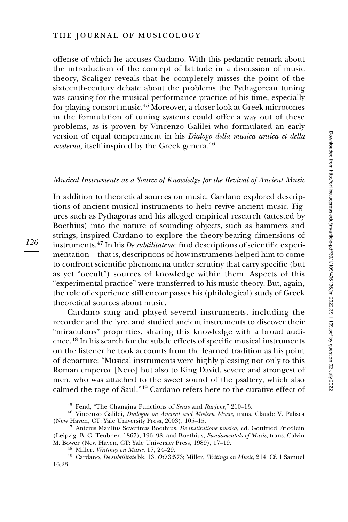offense of which he accuses Cardano. With this pedantic remark about the introduction of the concept of latitude in a discussion of music theory, Scaliger reveals that he completely misses the point of the sixteenth-century debate about the problems the Pythagorean tuning was causing for the musical performance practice of his time, especially for playing consort music.<sup>45</sup> Moreover, a closer look at Greek microtones in the formulation of tuning systems could offer a way out of these problems, as is proven by Vincenzo Galilei who formulated an early version of equal temperament in his Dialogo della musica antica et della moderna, itself inspired by the Greek genera.<sup>46</sup>

#### Musical Instruments as a Source of Knowledge for the Revival of Ancient Music

In addition to theoretical sources on music, Cardano explored descriptions of ancient musical instruments to help revive ancient music. Figures such as Pythagoras and his alleged empirical research (attested by Boethius) into the nature of sounding objects, such as hammers and strings, inspired Cardano to explore the theory-bearing dimensions of instruments.<sup>47</sup> In his *De subtilitate* we find descriptions of scientific experimentation—that is, descriptions of how instruments helped him to come to confront scientific phenomena under scrutiny that carry specific (but as yet "occult") sources of knowledge within them. Aspects of this "experimental practice" were transferred to his music theory. But, again, the role of experience still encompasses his (philological) study of Greek theoretical sources about music.

Cardano sang and played several instruments, including the recorder and the lyre, and studied ancient instruments to discover their "miraculous" properties, sharing this knowledge with a broad audience.48 In his search for the subtle effects of specific musical instruments on the listener he took accounts from the learned tradition as his point of departure: "Musical instruments were highly pleasing not only to this Roman emperor [Nero] but also to King David, severe and strongest of men, who was attached to the sweet sound of the psaltery, which also calmed the rage of Saul."<sup>49</sup> Cardano refers here to the curative effect of

<sup>&</sup>lt;sup>45</sup> Fend, "The Changing Functions of *Senso* and *Ragione*," 210–13.<br><sup>46</sup> Vincenzo Galilei, *Dialogue on Ancient and Modern Music*, trans. Claude V. Palisca<br>(New Haven, CT: Yale University Press, 2003), 105–15.

 $^{47}$  Anicius Manlius Severinus Boethius, *De institutione musica*, ed. Gottfried Friedlein (Leipzig: B. G. Teubner, 1867), 196-98; and Boethius, Fundamentals of Music, trans. Calvin M. Bower (New Haven, CT: Yale University Press, 1989), 17-19.

<sup>&</sup>lt;sup>48</sup> Miller, *Writings on Music*, 17, 24–29.<br><sup>49</sup> Cardano, *De subtilitate* bk. 13, *OO* 3:573; Miller, *Writings on Music*, 214. Cf. 1 Samuel 16:23.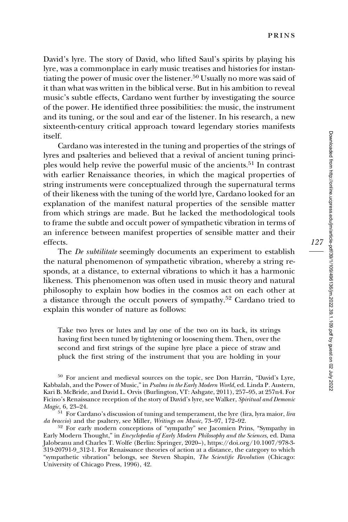David's lyre. The story of David, who lifted Saul's spirits by playing his lyre, was a commonplace in early music treatises and histories for instantiating the power of music over the listener.<sup>50</sup> Usually no more was said of it than what was written in the biblical verse. But in his ambition to reveal music's subtle effects, Cardano went further by investigating the source of the power. He identified three possibilities: the music, the instrument and its tuning, or the soul and ear of the listener. In his research, a new sixteenth-century critical approach toward legendary stories manifests itself.

Cardano was interested in the tuning and properties of the strings of lyres and psalteries and believed that a revival of ancient tuning principles would help revive the powerful music of the ancients.<sup>51</sup> In contrast with earlier Renaissance theories, in which the magical properties of string instruments were conceptualized through the supernatural terms of their likeness with the tuning of the world lyre, Cardano looked for an explanation of the manifest natural properties of the sensible matter from which strings are made. But he lacked the methodological tools to frame the subtle and occult power of sympathetic vibration in terms of an inference between manifest properties of sensible matter and their effects.

The *De subtilitate* seemingly documents an experiment to establish the natural phenomenon of sympathetic vibration, whereby a string responds, at a distance, to external vibrations to which it has a harmonic likeness. This phenomenon was often used in music theory and natural philosophy to explain how bodies in the cosmos act on each other at a distance through the occult powers of sympathy.<sup>52</sup> Cardano tried to explain this wonder of nature as follows:

Take two lyres or lutes and lay one of the two on its back, its strings having first been tuned by tightening or loosening them. Then, over the second and first strings of the supine lyre place a piece of straw and pluck the first string of the instrument that you are holding in your

<sup>50</sup> For ancient and medieval sources on the topic, see Don Harrán, "David's Lyre, Kabbalah, and the Power of Music," in Psalms in the Early Modern World, ed. Linda P. Austern, Kari B. McBride, and David L. Orvis (Burlington, VT: Ashgate, 2011), 257–95, at 257n4. For Ficino's Renaissance reception of the story of David's lyre, see Walker, Spiritual and Demonic Magic, 6, 23–24.

 $\frac{51}{1}$  For Cardano's discussion of tuning and temperament, the lyre (lira, lyra maior, *lira da braccio*) and the psaltery, see Miller, *Writings on Music*, 73–97, 172–92.

 $52$  For early modern conceptions of "sympathy" see Jacomien Prins, "Sympathy in Early Modern Thought," in *Encyclopedia of Early Modern Philosophy and the Sciences*, ed. Dana Jalobeanu and Charles T. Wolfe (Berlin: Springer, 2020–), [https://doi.org/10.1007/978-3-](https://doi.org/10.1007/978-3-319-20791-9_312-1) [319-20791-9\\_312-1](https://doi.org/10.1007/978-3-319-20791-9_312-1). For Renaissance theories of action at a distance, the category to which "sympathetic vibration" belongs, see Steven Shapin, The Scientific Revolution (Chicago: University of Chicago Press, 1996), 42.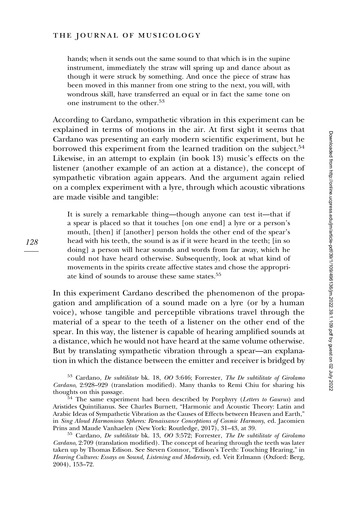hands; when it sends out the same sound to that which is in the supine instrument, immediately the straw will spring up and dance about as though it were struck by something. And once the piece of straw has been moved in this manner from one string to the next, you will, with wondrous skill, have transferred an equal or in fact the same tone on one instrument to the other.<sup>53</sup>

According to Cardano, sympathetic vibration in this experiment can be explained in terms of motions in the air. At first sight it seems that Cardano was presenting an early modern scientific experiment, but he borrowed this experiment from the learned tradition on the subject.<sup>54</sup> Likewise, in an attempt to explain (in book 13) music's effects on the listener (another example of an action at a distance), the concept of sympathetic vibration again appears. And the argument again relied on a complex experiment with a lyre, through which acoustic vibrations are made visible and tangible:

It is surely a remarkable thing—though anyone can test it—that if a spear is placed so that it touches [on one end] a lyre or a person's mouth, [then] if [another] person holds the other end of the spear's head with his teeth, the sound is as if it were heard in the teeth; [in so doing] a person will hear sounds and words from far away, which he could not have heard otherwise. Subsequently, look at what kind of movements in the spirits create affective states and chose the appropriate kind of sounds to arouse these same states.<sup>55</sup>

In this experiment Cardano described the phenomenon of the propagation and amplification of a sound made on a lyre (or by a human voice), whose tangible and perceptible vibrations travel through the material of a spear to the teeth of a listener on the other end of the spear. In this way, the listener is capable of hearing amplified sounds at a distance, which he would not have heard at the same volume otherwise. But by translating sympathetic vibration through a spear—an explanation in which the distance between the emitter and receiver is bridged by

<sup>53</sup> Cardano, De subtilitate bk. 18, OO 3:646; Forrester, The De subtilitate of Girolamo Cardano, 2:928–929 (translation modified). Many thanks to Remi Chiu for sharing his

 $54$  The same experiment had been described by Porphyry (Letters to Gaurus) and Aristides Quintilianus. See Charles Burnett, "Harmonic and Acoustic Theory: Latin and Arabic Ideas of Sympathetic Vibration as the Causes of Effects between Heaven and Earth," in Sing Aloud Harmonious Spheres: Renaissance Conceptions of Cosmic Harmony, ed. Jacomien<br>Prins and Maude Vanhaelen (New York: Routledge, 2017), 31–43, at 39.

 $^{55}$  Cardano, De subtilitate bk. 13, OO 3:572; Forrester, The De subtilitate of Girolamo Cardano, 2:709 (translation modified). The concept of hearing through the teeth was later taken up by Thomas Edison. See Steven Connor, "Edison's Teeth: Touching Hearing," in Hearing Cultures: Essays on Sound, Listening and Modernity, ed. Veit Erlmann (Oxford: Berg, 2004), 153–72.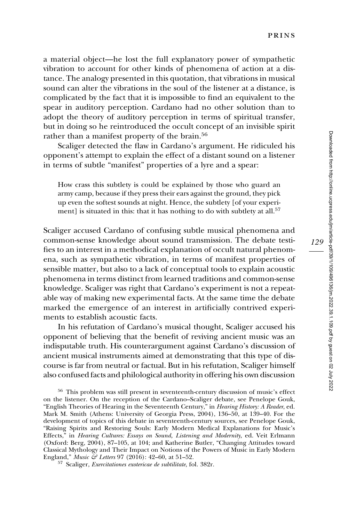a material object—he lost the full explanatory power of sympathetic vibration to account for other kinds of phenomena of action at a distance. The analogy presented in this quotation, that vibrations in musical sound can alter the vibrations in the soul of the listener at a distance, is complicated by the fact that it is impossible to find an equivalent to the spear in auditory perception. Cardano had no other solution than to adopt the theory of auditory perception in terms of spiritual transfer, but in doing so he reintroduced the occult concept of an invisible spirit rather than a manifest property of the brain.<sup>56</sup>

Scaliger detected the flaw in Cardano's argument. He ridiculed his opponent's attempt to explain the effect of a distant sound on a listener in terms of subtle "manifest" properties of a lyre and a spear:

How crass this subtlety is could be explained by those who guard an army camp, because if they press their ears against the ground, they pick up even the softest sounds at night. Hence, the subtlety [of your experiment] is situated in this: that it has nothing to do with subtlety at all.<sup>57</sup>

Scaliger accused Cardano of confusing subtle musical phenomena and common-sense knowledge about sound transmission. The debate testifies to an interest in a methodical explanation of occult natural phenomena, such as sympathetic vibration, in terms of manifest properties of sensible matter, but also to a lack of conceptual tools to explain acoustic phenomena in terms distinct from learned traditions and common-sense knowledge. Scaliger was right that Cardano's experiment is not a repeatable way of making new experimental facts. At the same time the debate marked the emergence of an interest in artificially contrived experiments to establish acoustic facts.

In his refutation of Cardano's musical thought, Scaliger accused his opponent of believing that the benefit of reviving ancient music was an indisputable truth. His counterargument against Cardano's discussion of ancient musical instruments aimed at demonstrating that this type of discourse is far from neutral or factual. But in his refutation, Scaliger himself also confused facts and philological authority in offering his own discussion

<sup>56</sup> This problem was still present in seventeenth-century discussion of music's effect on the listener. On the reception of the Cardano–Scaliger debate, see Penelope Gouk, "English Theories of Hearing in the Seventeenth Century," in Hearing History: A Reader, ed. Mark M. Smith (Athens: University of Georgia Press, 2004), 136–50, at 139–40. For the development of topics of this debate in seventeenth-century sources, see Penelope Gouk, "Raising Spirits and Restoring Souls: Early Modern Medical Explanations for Music's Effects," in Hearing Cultures: Essays on Sound, Listening and Modernity, ed. Veit Erlmann (Oxford: Berg, 2004), 87–105, at 104; and Katherine Butler, "Changing Attitudes toward Classical Mythology and Their Impact on Notions of the Powers of Music in Early Modern England," *Music & Letters* 97 (2016): 42–60, at 51–52.

57 Scaliger, Exercitationes exotericae de subtilitate, fol. 382r.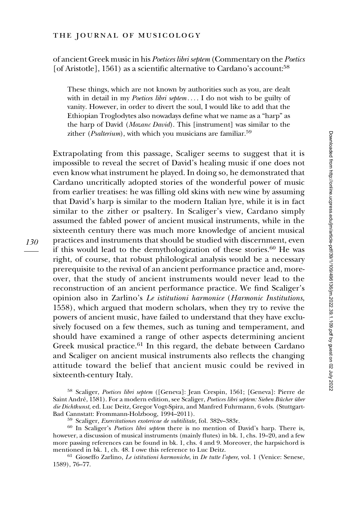## of ancient Greek music in his Poetices libri septem (Commentary on the Poetics [of Aristotle], 1561) as a scientific alternative to Cardano's account:<sup>58</sup>

These things, which are not known by authorities such as you, are dealt with in detail in my Poetices libri septem .... I do not wish to be guilty of vanity. However, in order to divert the soul, I would like to add that the Ethiopian Troglodytes also nowadays define what we name as a "harp" as the harp of David (Mozanc David). This [instrument] was similar to the zither (*Psalterium*), with which you musicians are familiar.<sup>59</sup>

Extrapolating from this passage, Scaliger seems to suggest that it is impossible to reveal the secret of David's healing music if one does not even know what instrument he played. In doing so, he demonstrated that Cardano uncritically adopted stories of the wonderful power of music from earlier treatises: he was filling old skins with new wine by assuming that David's harp is similar to the modern Italian lyre, while it is in fact similar to the zither or psaltery. In Scaliger's view, Cardano simply assumed the fabled power of ancient musical instruments, while in the sixteenth century there was much more knowledge of ancient musical practices and instruments that should be studied with discernment, even if this would lead to the demythologization of these stories. $60$  He was right, of course, that robust philological analysis would be a necessary prerequisite to the revival of an ancient performance practice and, moreover, that the study of ancient instruments would never lead to the reconstruction of an ancient performance practice. We find Scaliger's opinion also in Zarlino's Le istitutioni harmonice (Harmonic Institutions, 1558), which argued that modern scholars, when they try to revive the powers of ancient music, have failed to understand that they have exclusively focused on a few themes, such as tuning and temperament, and should have examined a range of other aspects determining ancient Greek musical practice.<sup>61</sup> In this regard, the debate between Cardano and Scaliger on ancient musical instruments also reflects the changing attitude toward the belief that ancient music could be revived in sixteenth-century Italy.

 $61$  Gioseffo Zarlino, Le istitutioni harmoniche, in De tutte l'opere, vol. 1 (Venice: Senese, 1589), 76–77.

<sup>58</sup> Scaliger, Poetices libri septem ([Geneva]: Jean Crespin, 1561; [Geneva]: Pierre de Saint André, 1581). For a modern edition, see Scaliger, Poetices libri septem: Sieben Bücher über die Dichtkunst, ed. Luc Deitz, Gregor Vogt-Spira, and Manfred Fuhrmann, 6 vols. (Stuttgart-Bad Cannstatt: Frommann-Holzboog, 1994–2011).

 $B<sup>59</sup>$  Scaliger, *Exercitationes exotericae de subtilitate*, fol. 382v–383r.<br><sup>60</sup> In Scaliger's *Poetices libri septem* there is no mention of David's harp. There is, however, a discussion of musical instruments (mainly flutes) in bk. 1, chs. 19–20, and a few more passing references can be found in bk. 1, chs. 4 and 9. Moreover, the harpsichord is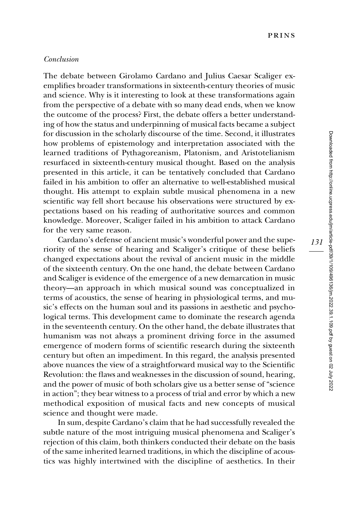#### Conclusion

The debate between Girolamo Cardano and Julius Caesar Scaliger exemplifies broader transformations in sixteenth-century theories of music and science. Why is it interesting to look at these transformations again from the perspective of a debate with so many dead ends, when we know the outcome of the process? First, the debate offers a better understanding of how the status and underpinning of musical facts became a subject for discussion in the scholarly discourse of the time. Second, it illustrates how problems of epistemology and interpretation associated with the learned traditions of Pythagoreanism, Platonism, and Aristotelianism resurfaced in sixteenth-century musical thought. Based on the analysis presented in this article, it can be tentatively concluded that Cardano failed in his ambition to offer an alternative to well-established musical thought. His attempt to explain subtle musical phenomena in a new scientific way fell short because his observations were structured by expectations based on his reading of authoritative sources and common knowledge. Moreover, Scaliger failed in his ambition to attack Cardano for the very same reason.

Cardano's defense of ancient music's wonderful power and the superiority of the sense of hearing and Scaliger's critique of these beliefs changed expectations about the revival of ancient music in the middle of the sixteenth century. On the one hand, the debate between Cardano and Scaliger is evidence of the emergence of a new demarcation in music theory—an approach in which musical sound was conceptualized in terms of acoustics, the sense of hearing in physiological terms, and music's effects on the human soul and its passions in aesthetic and psychological terms. This development came to dominate the research agenda in the seventeenth century. On the other hand, the debate illustrates that humanism was not always a prominent driving force in the assumed emergence of modern forms of scientific research during the sixteenth century but often an impediment. In this regard, the analysis presented above nuances the view of a straightforward musical way to the Scientific Revolution: the flaws and weaknesses in the discussion of sound, hearing, and the power of music of both scholars give us a better sense of "science in action"; they bear witness to a process of trial and error by which a new methodical exposition of musical facts and new concepts of musical science and thought were made.

In sum, despite Cardano's claim that he had successfully revealed the subtle nature of the most intriguing musical phenomena and Scaliger's rejection of this claim, both thinkers conducted their debate on the basis of the same inherited learned traditions, in which the discipline of acoustics was highly intertwined with the discipline of aesthetics. In their